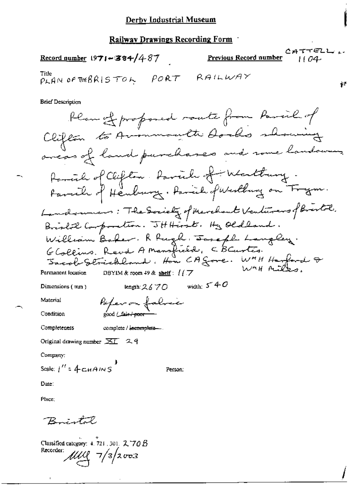$CATTELL$ 

ţ.

Previous Record number Record qumber  $1971 - 384/487$ PLAN OF THEBRISTOL PORT RAILWAY **Brief Description** Plan of profoned route from Parcil of Clifton to Avenmouth Docks showing aveas of land purchases and some landowers. Parcial of Clifton Parcial of Westtuny.<br>Parcial of Henburg . Parcial of Westburg on Frym. Landounes: The Society of Merchant Venturers of Brestol. Brislil Corporation. JHHerst. Hy Oldland. William Baker. R Pugh Joseph Langley.<br>Glollins. Revel A Mansfield, C BCurtes.<br>Jacob Strichland. Hon CA Sore. W"H Harford & DBYIM & room 49 & shelf:  $1/7$ Permanent location length:  $2670$  width:  $540$ Dimensions (mm) Material Poper on fabric Condition good (\_fai<del>r / poor</del> Completeness complete / incomplete-Original drawing number  $\overline{\times 1}$  2.9 Company: Scale:  $1'' = 4$  CHAINS Person:

Date:

Place;

Bristal

Classified category: 4, 721, 301, 2, 70 B Recorder:  $\mu\mu$   $\frac{7}{3}$   $\frac{2003}{3}$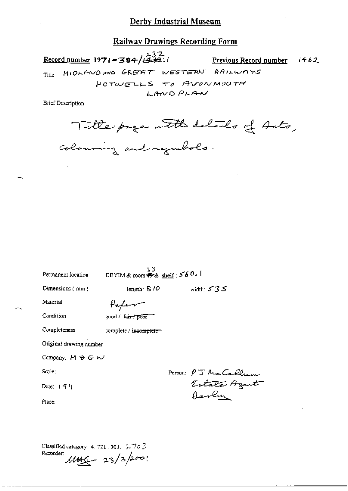Railway Drawings Recording Form

Record number 1971-384/432. Previous Record number  $1462$ MIDLAND AND GREAT WESTERN RAILWAYS Title HOTWELLS TO AVONMOUTH LANDPLAN

**Brief Description** 

Title page with details of Acts, colouring and regulates.

| Permanent location      | 33.<br>DBYIM & room $\bullet$ & shelf : $560.1$ |                                               |
|-------------------------|-------------------------------------------------|-----------------------------------------------|
| Dunensions (mm)         | length: $8/0$                                   | width: $535$                                  |
| Material                | Paper                                           |                                               |
| Condition               | good / fair / poor                              |                                               |
| Completeness            | complete / incomplete-                          |                                               |
| Original drawing number |                                                 |                                               |
| Company: $M \oplus G W$ |                                                 |                                               |
| Scale:                  |                                                 |                                               |
| Date: $  9  $           |                                                 | Person: PJ McCallum<br>Estate Agent<br>Octure |
| Place:                  |                                                 |                                               |
|                         |                                                 |                                               |
|                         |                                                 |                                               |

Classified category: 4, 721, 301, 270 B Recorder:  $1146 - 23/32001$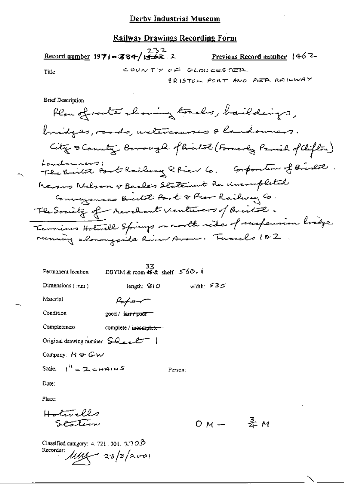# Railway Drawings Recording Form

Record number 1971-384/ $\frac{232}{1622}.$ Previous Record number 1462 COUNTY OF GLOUCESTER Tide BRISTER PORT AND PER RAILWAY

**Brief Description** 

| Permanent location                                             | 33<br>DBYIM & room $\overline{\mathbf{\Phi}}$ & shelf: 560. |              |
|----------------------------------------------------------------|-------------------------------------------------------------|--------------|
| Dimensions $(mn)$                                              | length: $910$                                               | width: $535$ |
| Material                                                       | fofer                                                       |              |
| Condition                                                      | good / fa <del>ir / poor</del>                              |              |
| Completeness                                                   | complete / incomplete                                       |              |
| Original drawing number $\text{S.}\text{Q.}\text{C.}\text{C.}$ |                                                             |              |
| Company: $M \oplus G \cup V$                                   |                                                             |              |
| Scale: $1^h = 2$ chains                                        |                                                             | Person:      |
| Date:                                                          |                                                             |              |

Place:

Helmell  
Station  
Orn- 
$$
\frac{3}{4}M
$$

Classified category: 4, 721, 301,  $\uparrow \uparrow$  O $\upbeta$ Recorder:  $\frac{1}{4}$  23/3/2001

ł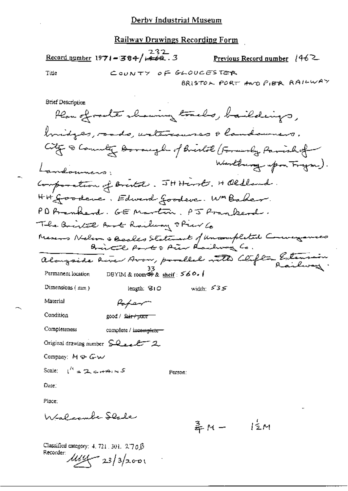$\frac{232}{\text{Record number}} 1971 - 364 / \frac{232}{1462}$ . Previous Record number 1462 Title COUNTY OF GLOUGESTER BRISTON PORT AND PIER RAILWAY

Person:

Company: M & Gw

Scale:  $1^k = 2c + 4 \sqrt{5}$ 

Date:

Place:

Walcombe Slade

 $\frac{3}{7}M - \frac{1}{2}M$ 

Classified category: 4, 721, 301, 270B Recorder:  $\mu$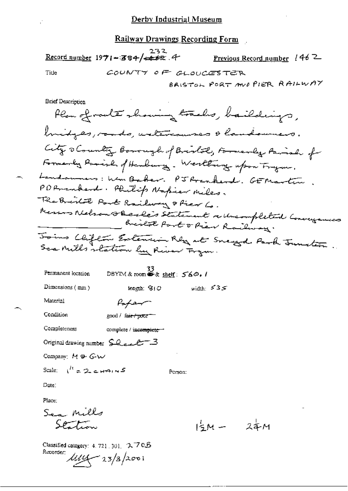Record number 1971-384/4422.4 Previous Record number 146<sup>2</sup> Tide COUNTY OF CLOUCESTER BRISTOL PORT AND PIER RAILWAY

**Brief Description** 

| Permanent location                                      | 33<br>DBYIM & room $\mathbf{\bullet}$ & shelf: $560.1$ |              |
|---------------------------------------------------------|--------------------------------------------------------|--------------|
| Dimensions $(mn)$                                       | leagth: G1O                                            | width: $535$ |
| Material                                                | Paper                                                  |              |
| Condition                                               | good / <del>fair / poor ==</del>                       |              |
| Completeness                                            | complete / incomplete -                                |              |
| Original drawing number $\sum_{\alpha} \mathcal{L} = 3$ |                                                        |              |
| Company: $M \oplus Gw$                                  |                                                        |              |
| Scale: $\mu' = 2 \epsilon$ HAINS                        |                                                        | Person: I    |

Date:

Place;

Sea Mills Station

 $1\frac{1}{2}M - 2\frac{1}{4}M$ 

Classified category: 4, 721, 301, 3, 7 0.B Recorder:  $\frac{1}{444} - 23/3/2001$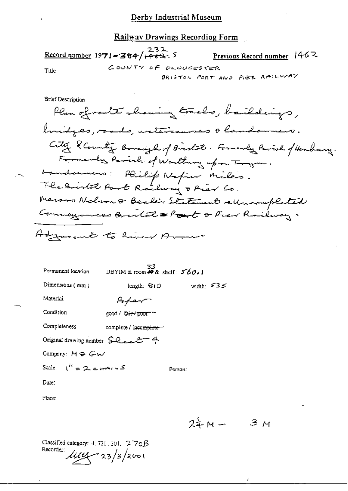# Railway Drawings Recording Form

|       | Record number 1971 - 384/ $\frac{232}{1462}$ , 5 | Previous Record number $1462$ |
|-------|--------------------------------------------------|-------------------------------|
| Title | COUNTY OF GLOUGESTER                             |                               |
|       |                                                  | BRISTOL PORT AND PIER RAILWAY |
|       |                                                  |                               |

**Brief Description** 

| Permanent location                                                  | $33$<br>DBYIM & room # & shelf: $560.1$ |                        |  |  |
|---------------------------------------------------------------------|-----------------------------------------|------------------------|--|--|
| Dimensions $(mn)$                                                   | length: 台IO                             | width: $535$           |  |  |
| Material                                                            | $F_{\sigma}$ far $\tau$                 |                        |  |  |
| Condition                                                           | good / fa <del>ir / poor = -</del>      |                        |  |  |
| Completeness                                                        | complete / incomplete =                 |                        |  |  |
| Original drawing number $\mathsf{SQ}_{\text{max}}$ $\mathsf{C}$ = 4 |                                         |                        |  |  |
| Company: $M \oplus G \cup V$                                        |                                         |                        |  |  |
| Scale: $1^R = 2e+11.5$                                              |                                         | Person:                |  |  |
| Date:                                                               |                                         |                        |  |  |
| Place:                                                              |                                         |                        |  |  |
|                                                                     |                                         |                        |  |  |
|                                                                     |                                         | $\sigma_{\tau}$ $\sim$ |  |  |

 $3M$ スチMー

 $\boldsymbol{l}$ 

Classified category: 4, 721, 301, 270B Recorder: 1114 - 23/3/2001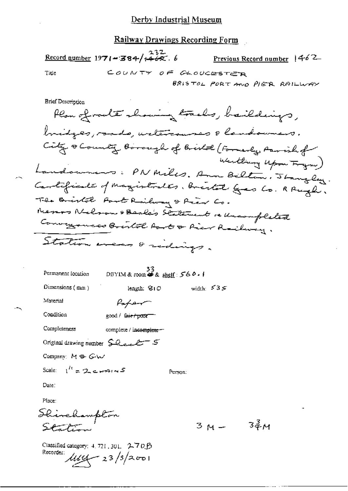Railway Drawings Recording Form

 $\frac{232}{36000}$  number 1971-384/ $\frac{232}{1468}$ . 6 Previous Record number 1462 COUNTY OF GLOUCESTER Title BRISTOL PORT AND PIETR RAILWAY

**Brief Description** 

Plan of route showing tracks, haildings, bridges, roads, untercauses & landowners. City & County Borough of Bristol (Formerly, Parish of Westling Upon Frym) Landonnes: PN Miles. Ann Bilton. Jangley. Cartificate of magistrates, bristal gres Co. R Pright, The Bristol Part Railway & Prier Co. Merros Nelson & Beale's Statement re uncompleted Conveyances Bristol Root & Rier Railway. Station means & sidings.

Person:

| Permanent Jocation | 33<br>DBYIM & room $\clubsuit$ & shelf: 560.1 |              |  |  |
|--------------------|-----------------------------------------------|--------------|--|--|
| Dimensions $(mn)$  | length: $810$                                 | width: $535$ |  |  |
| Material           | $P_{\alpha}$                                  |              |  |  |
| Condition          | good / <del>fair / poor =</del>               |              |  |  |

Completeness complete / incomplete -

Original drawing number  $\Omega_{ext}$  = 5

Company: M & GW

Scale:  $1^h = 2e + 214$ 

Date:

Place:

Shinehampton Station

Classified category: 4, 721, 301. 2-7 0 0 Recorder:  $\mu$ <br> $\mu$ 

 $34M$  $3M -$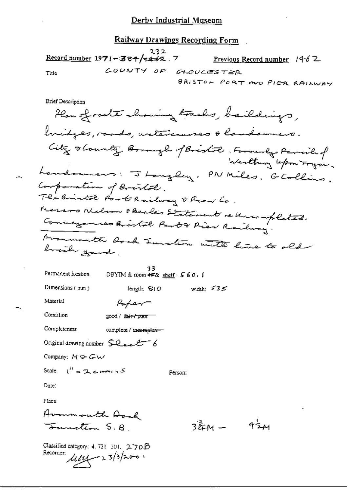#### **Railway Drawings Recording Form**

232  $\frac{\text{Record number}}{1971 - 384}$  +462.7 Previous Record number 1462 LOUNTY OF  $GLOUCES TER$ Title BRISTON PORT AND PIER RAILWAY

**Brief Description** 

Plan of route showing tracks, baildings, bridges, roads, untercourses & landowners. City stounty Borough of Bristol, Formerly Permished Landonness: J Langley, PN Miles, G Collins. Composation of Bristol.<br>The Bristol Port Railway & Prev Lo. Messons Nelson BBcale's Statement re Uniompleted Conveyances Bristal Part & Pier Railway. Avanmouth Aach Sunstion with line to old brith gand,

33<br>DBYIM & coom  $45$ & sheif:  $560.1$ Permanent location

Paper

Dimensions  $(mn)$ 

width:  $535$ length;  $S1O$ 

Person:

Material

Condition good / fair-f poor

Completeness complete / incomplete-

Original drawing number  $\mathcal{L}_{\text{e-e}}$ 

Company:  $M \oplus G \cup$ 

Scale:  $\int_{0}^{t} = 2 \cos \theta \sin \theta$ 

Date:

Place:

Avanmouth Aoch <del>Sunction</del> S.A

Classified category: 4, 721 301,  $270B$ Recorder  $\mu$ <br> $\mu$ 

 $724$ 3훒M ㅡ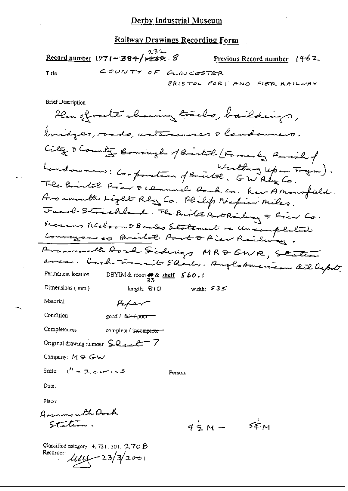$232$ Record number 1971 - 384/ $\neq$   $\neq$   $\neq$   $\approx$  .  $\varnothing$ Previous Record number  $14-62$ COUNTY OF GLOUCESTER Title BRISTOL PORT AND PIER RAILWAY

**Brief Description** 

Plan of router showing tracks, baildings, bridges, sads, untercourses & landowners. City & Country Borough of Birtol (Formerly Ravish of Landounces: Componition of Bristol, GWRly Co. The Bristol Prav & Channel Rock Co. Rev A Monsfield. Avanmonth Light Rby Co. Philip Napier miles. Jacob Strichland. The Brite Bothishing & Pier Co. Messons Welson & Bendes Statement re Uniompleted Avanmonth Aord Sidnigs MR&GWR, Staten area. Dach transit Sheds. Anglo American ail Deput. DBYIM & room  $\frac{33}{33}$  shelf:  $560.1$ Permanent lecation Dimensions  $(mn)$ length: SIO width:  $535$ Material Paper Condition good / fair+poor-Completeness complete / incomplete Original drawing number  $\sum Q_{\text{max}} C^{-}$  7 Company:  $M \oplus G \cup$ Scale:  $\mathfrak{t}^{\prime\prime} = 2 \epsilon \mathfrak{r} \mathfrak{r} \mathfrak{r} \mathfrak{r} \mathfrak{r} \mathfrak{s}$ Person: Date: Place: Avannouth Dock Station.  $54^{\circ}$ M  $4\frac{1}{2}M -$ 

Classified category: 4, 721, 301, 久70 B Recorder  $\mu = 23/3/2001$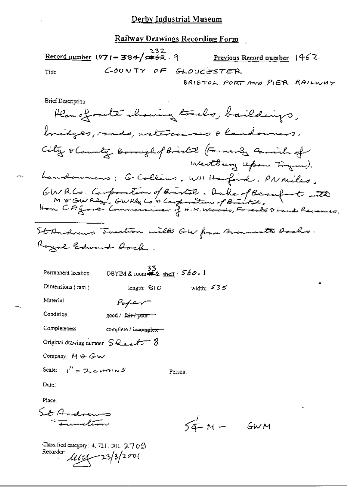<u>Railway Drawings Recording Form</u>

 $\frac{232}{\text{Record number}}$  1971-384/ $\frac{232}{\text{100}}$ . 9 Previous Record number  $1462$ COUNTY OF GLOUCESTER Title BRISTOL PORT AND PIER RAILWAY

**Brief Description** 

Plan of route showing tracks, baildings, bridges, roads, untercourses a landowners City o County Boonigh of Birtol (Formerly Parish of Weithing lepon Frym). Landonnes: G Collins, WH Harfind. PN miles. GWRCs. Composition of Bristol. Duke of Beaufort with<br>MOGWRey, GWRey COBComposition of Bristol.<br>Hon CAgore Commissioner of H.M. Woods, Foresto I and Revenues.

33<br>DBYIM & room ##  $\frac{35}{\text{shelf}}$ ; 560. Permanent location length:  $S/O$ 

 $P_{\alpha}$ fer

Dimensions (mm)

width:  $535$ 

Material

Condition good / fair / poor

Completeness complete / incomplete =

Original drawing number  $\mathcal{L}_{\text{max}} = 8$ 

Company:  $M \oplus Gw$ 

Scale:  $1^{\prime\prime} = 2$ , corrected S

Person:

Date:

Place.

St Andrews Indiana

Classified category: 4, 721, 301,  $270B$ Recorder  $\mu$ 14 - 23/3/2001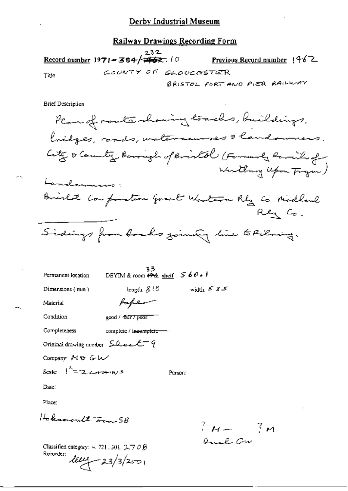#### Railway Drawings Recording Form

232 Record number 1971-384/### Previous Record number  $(462)$ COUNTY OF GLOUCESTER Title BRISTOL PORT AND PIER RAILWAY

**Brief Description** 

Plan of route showing tracks, buildings, bridges, roads, watercourses & landowners. City & Country Borough of Bristol (Formarly Parish of Westburg Upon Frym) Landamens: Brislat Composition great Western Rby Co Midland Rey Co. Sidings from Aochs joining line to Pilming.

33<br>DBYIM & room <del>47%</del> shelf:  $560 \cdot 1$ Permanent location width  $535$ length:  $\mathcal{L}^{10}$ Dimensions (mm) faper Material Condition good / fair / poor Completeness complete / incomplete-Original drawing number Sheet 9 Company MO GW Scale:  $\int_{0}^{t_1} = 2c + t^2$ Person: Date: Place:

Hoksmouth Jan 5B

 $?$   $M = ?M$ Quel Gw

Classified category: 4, 721, 301, 2,70 B Recorder:  $100 - 23/3/200$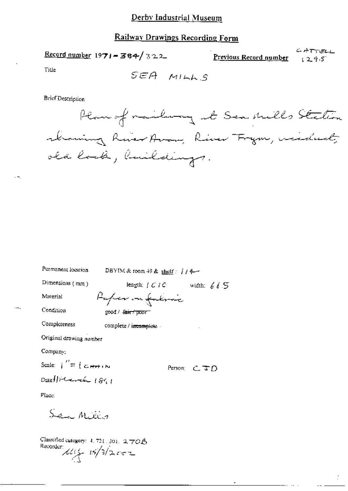# **Railway Drawings Recording Form**

Record number 1971 = 384/322

 $CHTTELL$ Previous Record number  $1295$ 

Title

SEA MILLS

Brief Description



| Furmanent focation.                                                | DBYIM & room 49 & shelf $:$ $1/4-$        |             |  |
|--------------------------------------------------------------------|-------------------------------------------|-------------|--|
| Dimensions (mm)                                                    | length; $f \in I \cap C$ width: $f \in S$ |             |  |
| Material                                                           | Refer in falme                            |             |  |
| Condition                                                          | good / <del>fair / poor -</del>           |             |  |
| Completeness                                                       | complete / incomplete -                   |             |  |
| Original drawing number                                            |                                           |             |  |
| Company:                                                           |                                           |             |  |
| Scale: $\int_{0}^{T} = \int_{0}^{T} C_{\text{eff}} \mu_{\text{F}}$ |                                           | Person: CJD |  |
| Date ! Determine 1891                                              |                                           |             |  |
| Place:                                                             |                                           |             |  |
| Sen Millio                                                         |                                           |             |  |
| سم : سنة 177                                                       |                                           |             |  |

Classified category:  $4, 721, 301, 2, 70B$ Recorder:  $15/3/2002$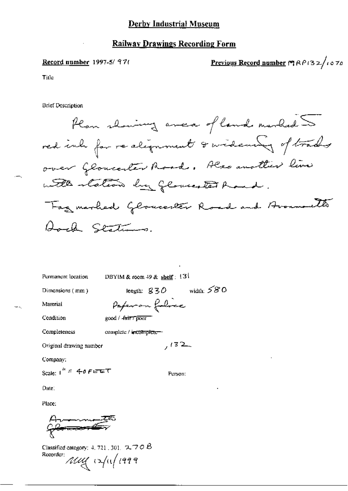#### Record number 1997-5/97!

Previous Record number 19 R P 13 2/10 70

Title

**Brief Description** 

Plan showing anca of land marked red inh for realignment & widewing of trades over Gloucester Road. Hero another live with station by glower to hand. Tag marbed Gloucester Road and Avenuelts Aoch Stations.

| Permanent location                   | DBYIM & room $49$ & shelf: $131$    |
|--------------------------------------|-------------------------------------|
| Dimensions (mm)                      | width: $580$<br>length: $830^\circ$ |
| Marerial                             | Paperon folice                      |
| Condition                            | good / fair 7 pour                  |
| Completeness                         | complete / incomplete-              |
| Original drawing number              | 132                                 |
| Company:                             |                                     |
| Scale: $1'' = 40$ $P \in \mathbb{C}$ | Person:                             |
| Date:                                |                                     |

Place:

l<del>e anor l</del>

Classified category: 4, 721, 301,  $\sim$  70  $\beta$ Recorder: Muy 12/11/1999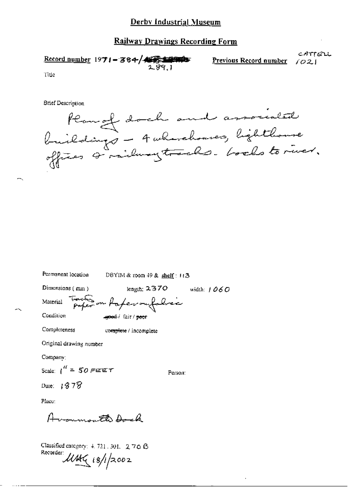#### **Railway Drawings Recording Form**

CATTELL Record number 1971 - 384/422444 Previous Record number  $1021$ 

Title

**Brief Description** 

Plan of doch and associated<br>buildings - 4 wherehouses, lighthanse<br>offices & railway tracks. books to river.

Permanent location DBYIM & room 49 & shelf: 113

Dimensions (mm)

length:  $2370$  width:  $1060$ 

Person:

Track on Raperoufolice

Condition

Completeness

Material

good / fair / peer

complete / incomplete

Original drawing number

Company:

Scale:  $1'' = 50$  FEET

Date:  $1378$ 

Place:

Avonmontto Dock

Classified category: 4, 721, 301, 2, 7 0 B Recorder: UMG 18/1/2002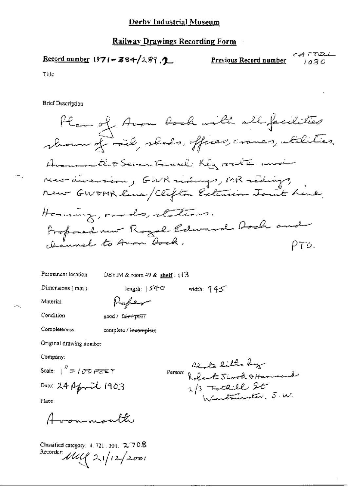$C.A. T T C L \Box$ Record number  $1971 - 384/289$ . Previous Record number 1030

Title

**Brief Description** 

Han of Avon book with all facilities shown of rail, sheds, offices, crames, utilities, Avanuarathosevantaments Rey rate and numáriamiem, GWR sidings, MR sidings, new GWOMR line/Clifton Extension Joint Luce Herming, roads, stations. Profoned new Royal Edward Doch and ρτο.

Permanent location

DBYIM & room  $49$  & shelf :  $113$ 

length:  $540$ 

Dimensions  $(mn)$ 

width:  $945$ 

Material

Paper

Condition

Completeness

complete / incomplete

good / fair+pour

Original drawing number

Company:

Scale:  $\frac{N}{N} = 1076$  PEE T

Date:  $24$  Aforail 1903

Place:

mmounth

Classified category:  $4, 721, 301, 2, 70.8$ Recorder: 1111 21/12/2001

Re to little by Person: Robert Shook & Hammond 2/3 Totaill St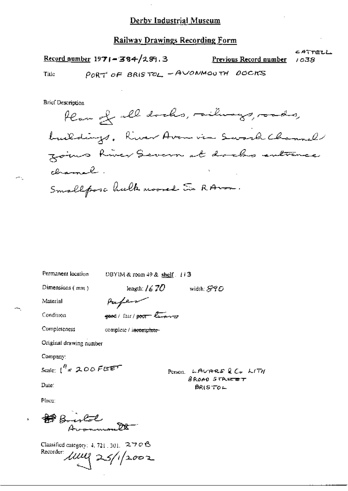#### Railway Drawings Recording Form

Record number  $1971 - 384/289.3$ 

Previous Record number

CATTELL 1038

Title

ж.

PORT OF BRISTOL, - AVONMOUTH DOCKS

**Brief Description** 

Plan of all docks, milinarys, roads, buildings, River Avan via Swork Channel zoins hiver Severn at dacks entrance channah. Smallposa hulk moored to RAND.

Permanent location DBYIM & room 49 & shelf . 113

Dimensions (mm)

length:  $/670$ width:  $S90^\circ$ 

Material

Completeness

Condition

**good** / Fair / poor lawn

complete / incomplete-

Paper

Original drawing number

Company:

Scale:  $1^{H}$  = 200 FEET

Person LAUARS & CU LITH  $B$ ROAD STREET  $BR(STOL$ 

Date:

Place:

Build<br>Armoural

Classified category: 4, 721, 301, 270 B Recorder  $1112225/12002$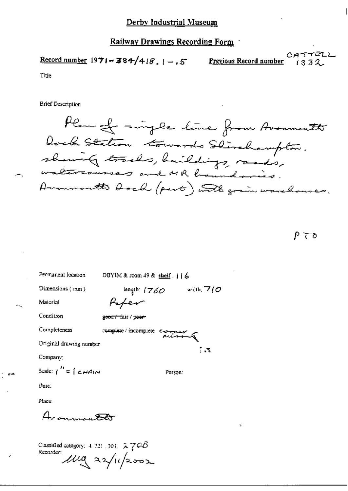Record number  $1971 - 384/418$ ,  $1 - .5$ 

<u>Previous Record number</u>

CATTELL  $1332$ 

Title

**Brief Description** 

Plan of mingle line from Avonmouth Dock Station towards Stirchampton.<br>showing tracks, huildings, rands, Arommoutto Asah (part) with grain warehouses.

 $P$   $\tau$ ס

Permanent location DBYIM & room 49 & shelf . j j 6 Dimensions (mm) length:  $(760)$ width:  $\nabla f \mathcal{O}$ Pefer Material Condition geodr fair / poer complete / incomplete complete Completeness Original drawing number 743 Company: Scale:  $\int_0^L = \int \mathcal{L} H A/N$ Person: Date: Place: Avonomia <del>Par</del> Classified category:  $4.721, 301, 2.70B$ Recorder:  $\mu$ ug 22/11/2002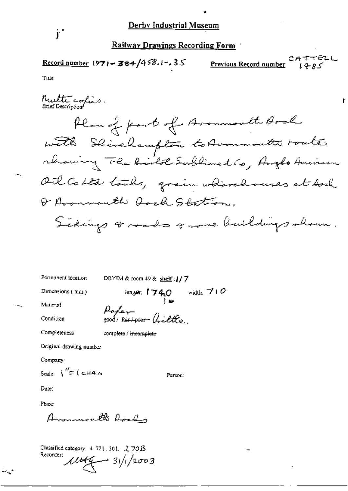- 67 Record number  $1971 - 384/458.1 - 35$ Previous Record number

ŧ

Title

j.

Permanent location

DBYIM & room 49 & shelf : // 7

2000/<del>sur/poor</del> fritto

Dimensions (mm)

lengia:  $1740$  width:  $710$ 

Person:

..,

Condition

Material

Completeness

complete / incomplete

Pake

Original drawing number

Company:

Scale:  $\int_{0}^{R}$   $=$   $\int_{0}^{R}$   $=$   $\int_{0}^{R}$   $\approx$   $\frac{1}{2}$   $\int_{0}^{R}$ 

Date:

Place:

 $\sim$   $\sim$ 

Avonmouth Roads

Classified category: 4, 721, 301, 2, 70.3 Recorder:  $1044 - 31/12003$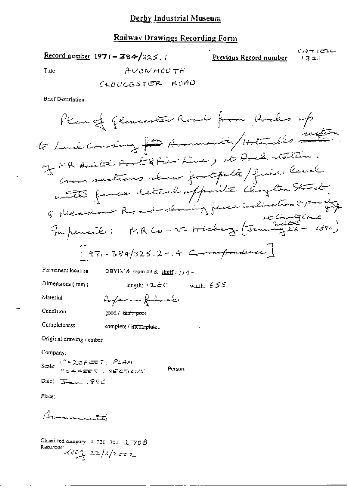### Railway Drawings Recording Form

Record number 1971 = 384/325.1

CATTELL Previous Record number  $1321$ 

÷

Title

$$
A \cup \partial N \land \partial U \not\sqcap H
$$

**Brief Description** 

Permanent location

DBYIM & room 49 & shelf:  $114-$ 

Dimensions  $(mn)$ 

length:  $12.6C$  width:  $655$ Poper on filosof

Material

Condition

good / fair / poor-

Completeness complete / incomplete.

Original drawing number

Company:

Scale:  $1^{n}$  = 20 P CET. PLAN<br> $1^{n}$  = 4 P CET. SECTIONS Person: Date:  $\frac{1}{2}$   $\frac{1}{2}$   $\frac{1}{2}$   $\frac{1}{2}$   $\frac{1}{2}$   $\frac{1}{2}$ 

Place:

Avannauto

Classified category: 4, 721, 301, 2, 70 B Recorder  $\frac{1}{2}$  22/3/2002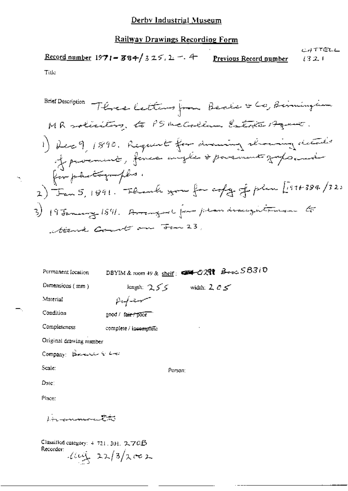#### **Railway Drawings Recording Form**

CATTELL Record number  $1971 - 384 / 325.2 - 4$ Previous Record number 1321 Title

**Brief Description** Three letters from Beaks & Co, Birmingham MR soliciting, to PS McCollum Estote Agency. 1) Read, 1890. Request for animal showing details of procurate, forces anythe & parement graps and for photographs. 2) Jan 5, 1891. Flumb you for copy of plus [1974-384/32) 3) 19 January 1891. Arranged from plan draughtenen to teent Court on Jan 23,

| Permanent location                                                             | DBYIM & room 49 & shelf: $\blacktriangleright$ $\blacktriangleright$ $\mathcal{O}$ 291 $\blacktriangleright$ $\mathcal{O}$ and $\mathcal{S}$ $\mathcal{B}$ $\mathcal{S}$ i $\mathcal{O}$ |  |  |
|--------------------------------------------------------------------------------|------------------------------------------------------------------------------------------------------------------------------------------------------------------------------------------|--|--|
| Dimensions (mm)                                                                | length: $255$ width: $205$                                                                                                                                                               |  |  |
| Material                                                                       | ستسهدن كمريهم                                                                                                                                                                            |  |  |
| Condition                                                                      | good / fair / poor                                                                                                                                                                       |  |  |
| Completeness                                                                   | complete / incomplete                                                                                                                                                                    |  |  |
| Original drawing number                                                        |                                                                                                                                                                                          |  |  |
| Company: Belevin & Lie                                                         |                                                                                                                                                                                          |  |  |
| Scale:                                                                         | Person:                                                                                                                                                                                  |  |  |
| Date:                                                                          |                                                                                                                                                                                          |  |  |
| Place:                                                                         |                                                                                                                                                                                          |  |  |
| bin common the                                                                 |                                                                                                                                                                                          |  |  |
| Classified category: $4-721$ , 301, 2, 70 $\beta$<br>Recorder:<br>1001/22/3/xc |                                                                                                                                                                                          |  |  |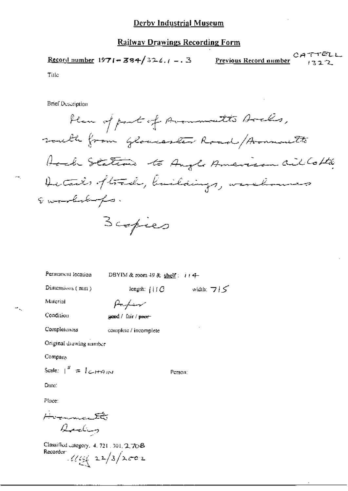CATTELL Record number  $1971 - 384/326.7 - 3$ Previous Record number  $1322$ 

Title

÷

**Brief Description** 

Permanent location

DBYIM & room 49 & shelf:  $i$  (4-

Person:

Dimensions (mm)

length:  $\{ \text{if } C \}$  width:  $\forall$   $\}$ 

Material

Parkier gend / fair / peor-

Condition

Completeness complete / incomplete

Original drawing namber

Company

Scale:  $\begin{bmatrix} u' = l \ c \end{bmatrix}$ 

Date:

Place:

Hvormantti Archy

Classified category, 4, 721, 301, 2, 70 B Recorder  $\frac{1}{2}$  22/3/2002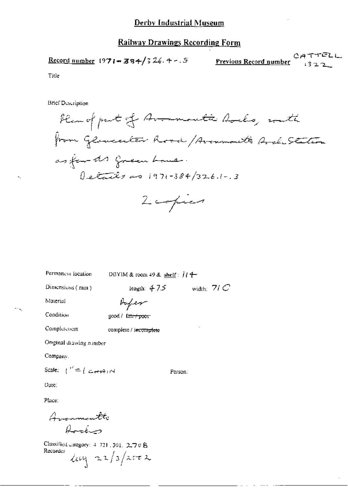Title

**Brief Description** 



length:  $47.5$  width:  $71C$ Dimensions (mm) Aufer Material Condition good / fair / poor Completeness complete / incomplete Original drawing number Company. Scale:  $\int' = \int \mathcal{L} \leftrightarrow \rightarrow \rightarrow \rightarrow \rightarrow \rightarrow \rightarrow$ Person:

DBYIM & room 49 & shelf:  $114$ 

Permanent location

Date:

Place:

Avannoutti Arction

Classified category: 4-721, 301, 2.70 Å Recorder  $\log$  22/3/2002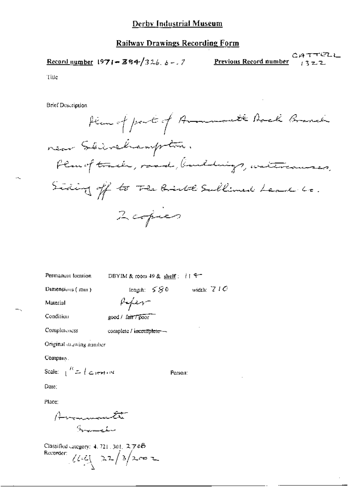Record number  $1971 - 384/326.6 - 7$ 

Previous Record number

CATTELL

Title

**Brief Description** 

Hem of part of Amonmouth Back Branch near Skinskampton. Plan of track, road, landdings, watercourses, Siding off to The Birth Sullimed Lead to. 2 copies

Permanent location

DBYIM & room 49 & shelf:  $115$ 

Dimensions (mm)

length:  $580$  width:  $710$ 

Material

Condition

Repergood / fair / poor

Completeness complete / incomplete -

Original drawing ramber

Company.

Scale:  $\frac{R}{1} = \int \mathcal{L} \cdot d\mathbf{r}$ 

Person:

Date:

Place:

American Samuelus

Classified category: 4, 721, 301, 270B Recorder:  $\sqrt{16}$   $22/3$   $2002$